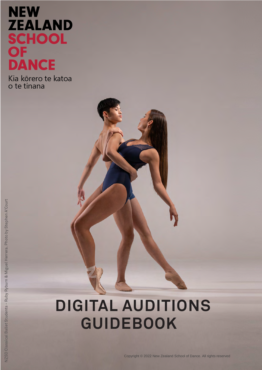# **NEW ZEALAND** SCHOOL<br>OF<br>DANCE

Kia kōrero te katoa o te tinana

## **DIGITAL AUDITIONS GUIDEBOOK**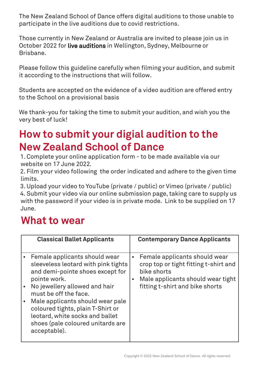The New Zealand School of Dance offers digital auditions to those unable to participate in the live auditions due to covid restrictions.

Those currently in New Zealand or Australia are invited to please join us in October 2022 for live auditions in Wellington, Sydney, Melbourne or Brisbane.

Please follow this guideline carefully when filming your audition, and submit it according to the instructions that will follow.

Students are accepted on the evidence of a video audition are offered entry to the School on a provisional basis

We thank-you for taking the time to submit your audition, and wish you the very best of luck!

## **How to submit your digial audition to the New Zealand School of Dance**

1. Complete your online application form - to be made available via our website on 17 June 2022.

2. Film your video following the order indicated and adhere to the given time limits.

3. Upload your video to YouTube (private / public) or Vimeo (private / public) 4. Submit your video via our online submission page, taking care to supply us with the password if your video is in private mode. Link to be supplied on 17 June.

### **What to wear**

| <b>Classical Ballet Applicants</b>                                                                                                                                                                                                                                                                                                                  |                        | <b>Contemporary Dance Applicants</b>                                                                                                                          |
|-----------------------------------------------------------------------------------------------------------------------------------------------------------------------------------------------------------------------------------------------------------------------------------------------------------------------------------------------------|------------------------|---------------------------------------------------------------------------------------------------------------------------------------------------------------|
| Female applicants should wear<br>sleeveless leotard with pink tights<br>and demi-pointe shoes except for<br>pointe work.<br>No jewellery allowed and hair<br>must be off the face.<br>Male applicants should wear pale<br>coloured tights, plain T-Shirt or<br>leotard, white socks and ballet<br>shoes (pale coloured unitards are<br>acceptable). | $\bullet$<br>$\bullet$ | Female applicants should wear<br>crop top or tight fitting t-shirt and<br>bike shorts<br>Male applicants should wear tight<br>fitting t-shirt and bike shorts |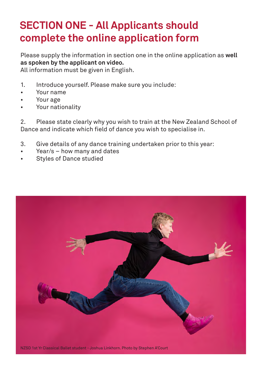## **SECTION ONE - All Applicants should complete the online application form**

Please supply the information in section one in the online application as **well as spoken by the applicant on video.** 

All information must be given in English.

- 1. Introduce yourself. Please make sure you include:
- Your name
- Your age
- Your nationality

2. Please state clearly why you wish to train at the New Zealand School of Dance and indicate which field of dance you wish to specialise in.

- 3. Give details of any dance training undertaken prior to this year:
- $Year/s how many and dates$
- Styles of Dance studied

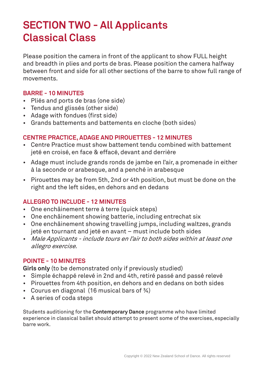## **SECTION TWO - All Applicants Classical Class**

Please position the camera in front of the applicant to show FULL height and breadth in plies and ports de bras. Please position the camera halfway between front and side for all other sections of the barre to show full range of movements.

#### **BARRE - 10 MINUTES**

- Pliés and ports de bras (one side)
- Tendus and glissés (other side)
- Adage with fondues (first side)
- Grands battements and battements en cloche (both sides)

#### **CENTRE PRACTICE, ADAGE AND PIROUETTES - 12 MINUTES**

- Centre Practice must show battement tendu combined with battement jeté en croisé, en face & effacé, devant and derrière
- Adage must include grands ronds de jambe en l'air, a promenade in either à la seconde or arabesque, and a penché in arabesque
- Pirouettes may be from 5th, 2nd or 4th position, but must be done on the right and the left sides, en dehors and en dedans

#### **ALLEGRO TO INCLUDE - 12 MINUTES**

- One enchâinement terre à terre (quick steps)
- One enchâinement showing batterie, including entrechat six
- One enchâinement showing travelling jumps, including waltzes, grands jeté en tournant and jeté en avant – must include both sides
- Male Applicants include tours en l'air to both sides within at least one allegro exercise.

#### **POINTE - 10 MINUTES**

**Girls only** (to be demonstrated only if previously studied)

- Simple échappé relevé in 2nd and 4th, retiré passé and passé relevé
- Pirouettes from 4th position, en dehors and en dedans on both sides
- Courus en diagonal (16 musical bars of ¾)
- A series of coda steps

Students auditioning for the **Contemporary Dance** programme who have limited experience in classical ballet should attempt to present some of the exercises, especially barre work.